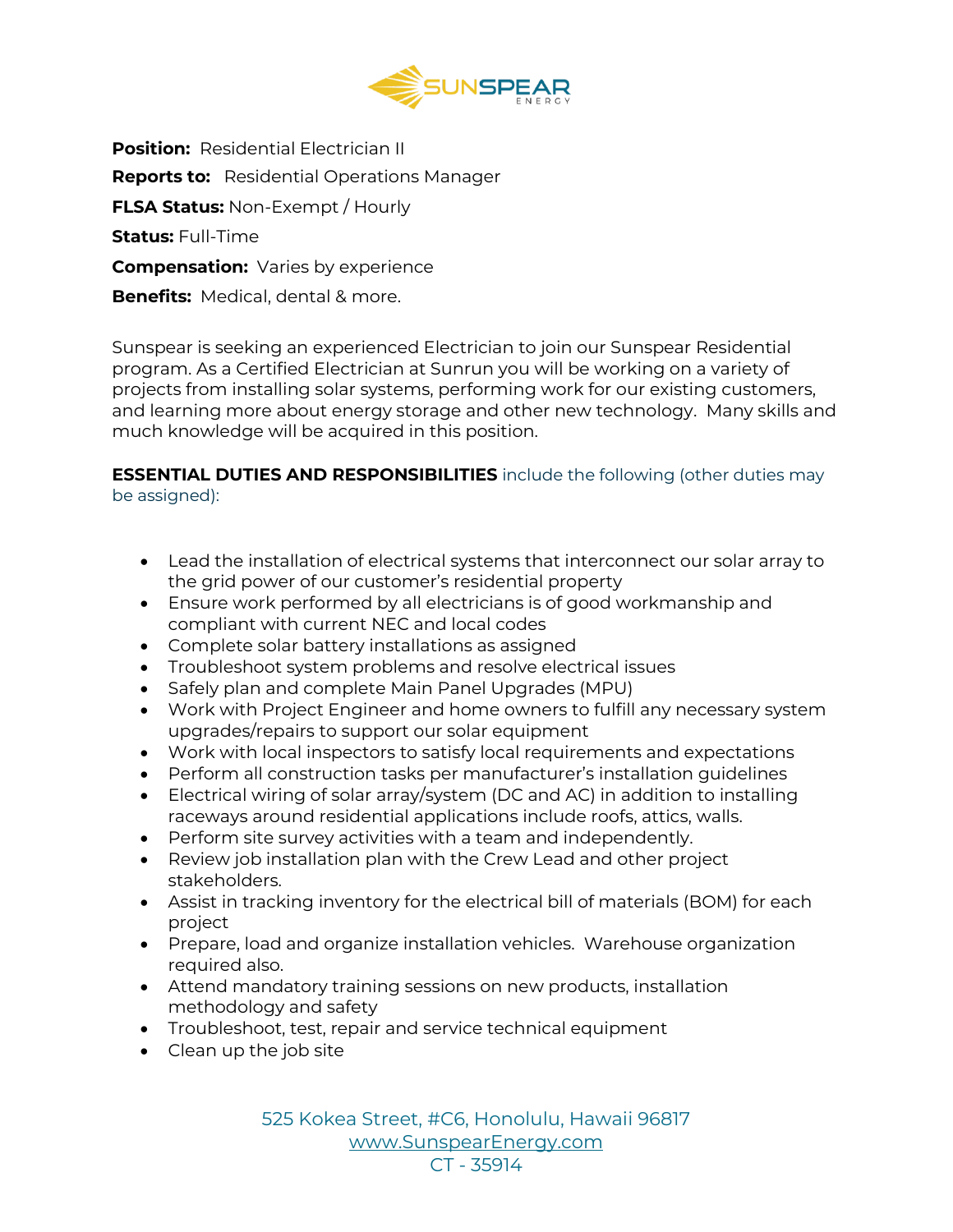

**Position:** Residential Electrician II **Reports to:** Residential Operations Manager **FLSA Status:** Non-Exempt / Hourly **Status:** Full-Time **Compensation:** Varies by experience **Benefits:** Medical, dental & more.

Sunspear is seeking an experienced Electrician to join our Sunspear Residential program. As a Certified Electrician at Sunrun you will be working on a variety of projects from installing solar systems, performing work for our existing customers, and learning more about energy storage and other new technology. Many skills and much knowledge will be acquired in this position.

## **ESSENTIAL DUTIES AND RESPONSIBILITIES** include the following (other duties may be assigned):

- Lead the installation of electrical systems that interconnect our solar array to the grid power of our customer's residential property
- Ensure work performed by all electricians is of good workmanship and compliant with current NEC and local codes
- Complete solar battery installations as assigned
- Troubleshoot system problems and resolve electrical issues
- Safely plan and complete Main Panel Upgrades (MPU)
- Work with Project Engineer and home owners to fulfill any necessary system upgrades/repairs to support our solar equipment
- Work with local inspectors to satisfy local requirements and expectations
- Perform all construction tasks per manufacturer's installation guidelines
- Electrical wiring of solar array/system (DC and AC) in addition to installing raceways around residential applications include roofs, attics, walls.
- Perform site survey activities with a team and independently.
- Review job installation plan with the Crew Lead and other project stakeholders.
- Assist in tracking inventory for the electrical bill of materials (BOM) for each project
- Prepare, load and organize installation vehicles. Warehouse organization required also.
- Attend mandatory training sessions on new products, installation methodology and safety
- Troubleshoot, test, repair and service technical equipment
- Clean up the job site

525 Kokea Street, #C6, Honolulu, Hawaii 96817 [www.SunspearEnergy.com](http://www.sunspearenergy.com/)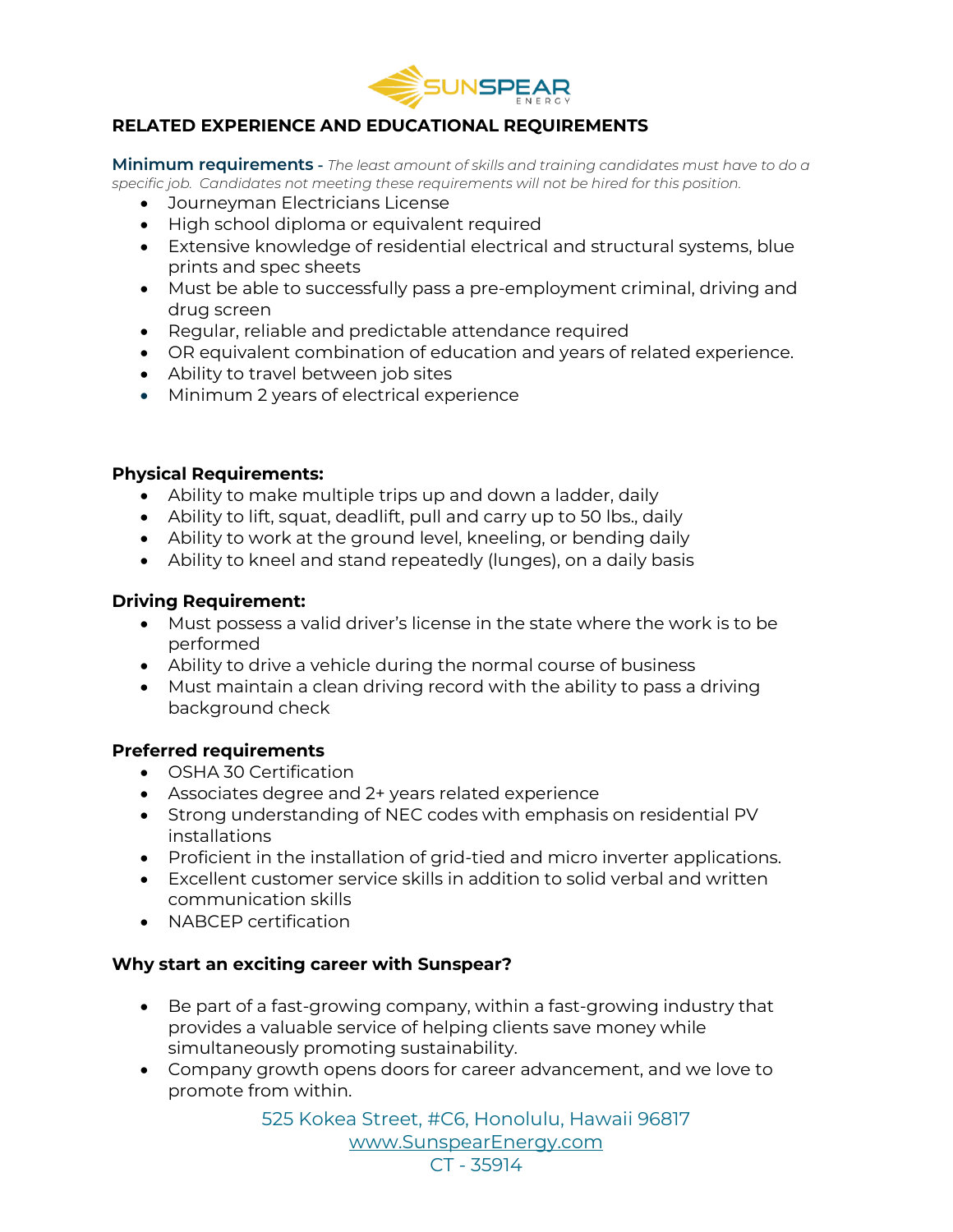

# **RELATED EXPERIENCE AND EDUCATIONAL REQUIREMENTS**

**Minimum requirements -** *The least amount of skills and training candidates must have to do a specific job. Candidates not meeting these requirements will not be hired for this position.*

- Journeyman Electricians License
- High school diploma or equivalent required
- Extensive knowledge of residential electrical and structural systems, blue prints and spec sheets
- Must be able to successfully pass a pre-employment criminal, driving and drug screen
- Regular, reliable and predictable attendance required
- OR equivalent combination of education and years of related experience.
- Ability to travel between job sites
- Minimum 2 years of electrical experience

## **Physical Requirements:**

- Ability to make multiple trips up and down a ladder, daily
- Ability to lift, squat, deadlift, pull and carry up to 50 lbs., daily
- Ability to work at the ground level, kneeling, or bending daily
- Ability to kneel and stand repeatedly (lunges), on a daily basis

## **Driving Requirement:**

- Must possess a valid driver's license in the state where the work is to be performed
- Ability to drive a vehicle during the normal course of business
- Must maintain a clean driving record with the ability to pass a driving background check

### **Preferred requirements**

- OSHA 30 Certification
- Associates degree and 2+ years related experience
- Strong understanding of NEC codes with emphasis on residential PV installations
- Proficient in the installation of grid-tied and micro inverter applications.
- Excellent customer service skills in addition to solid verbal and written communication skills
- NABCEP certification

### **Why start an exciting career with Sunspear?**

- Be part of a fast-growing company, within a fast-growing industry that provides a valuable service of helping clients save money while simultaneously promoting sustainability.
- Company growth opens doors for career advancement, and we love to promote from within.

525 Kokea Street, #C6, Honolulu, Hawaii 96817 [www.SunspearEnergy.com](http://www.sunspearenergy.com/) CT - 35914